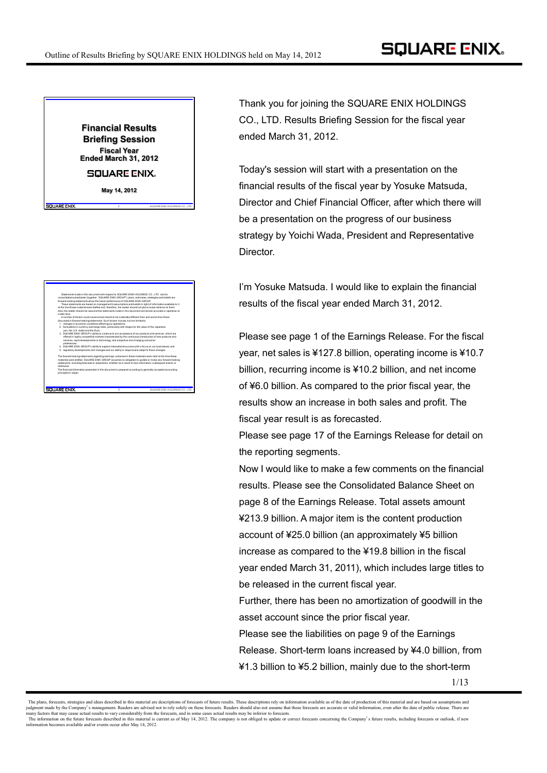

**May 14, 2012**

.<br>GUUARE ENIX

**SQUARE ENIX** 

**1** SQUARE ENIX HOLDINGS CO., LTD.

**2** SQUARE ENIX HOLDINGS CO., LTD.

## Statements made in this document with respect to SQUARE ENIX HOLDINGS CO., LTD. and its consolidated subsidiaries' (together, "SQUARE ENIX GROUP") plans, estimates, strategies and beliefs are forward-looking statements about the future performance of SQUARE ENIX GROUP. These statements are based on management's assumptions and beliefs in light of information available to it at the time these material were drafted and, therefore, the reader should not place undue reliance on them. Also, the reader should not assume that statements made in this document will remain accurate or operative at a later time. A number of factors could cause actual results to be materially different from and worse than those discussed in forward-looking statements. Such factors include, but not limited to: 1. changes in economic conditions affecting our operations; 2. fluctuations in currency exchange rates, particularly with respect to the value of the Japanese yen, the U.S. dollar and the Euro; 3. SQUARE ENIX GROUP's ability to continue to win acceptance of our products and services, which are offered in highly competitive markets characterized by the continuous introduction of new products and services, rapid developments in technology, and subjective and changing consumer preferences;

4. SQUARE ENIX GROUP's ability to expand international success with a focus on our businesses; and 5. regulatory developments and changes and our ability to respond and adapt to those changes. The forward-looking statements regarding earnings contained in these materials were valid at the time these materials were drafted. SQUARE ENIX GROUP assumes no obligation to update or revise any forward-looking statements, including forecasts or projections, whether as a result of new information, subsequent events or otherwise. The financial information presented in this document is prepared according to generally accepted accounting principles in Japan.

Thank you for joining the SQUARE ENIX HOLDINGS CO., LTD. Results Briefing Session for the fiscal year ended March 31, 2012.

Today's session will start with a presentation on the financial results of the fiscal year by Yosuke Matsuda, Director and Chief Financial Officer, after which there will be a presentation on the progress of our business strategy by Yoichi Wada, President and Representative Director.

I'm Yosuke Matsuda. I would like to explain the financial results of the fiscal year ended March 31, 2012.

Please see page 1 of the Earnings Release. For the fiscal year, net sales is ¥127.8 billion, operating income is ¥10.7 billion, recurring income is ¥10.2 billion, and net income of ¥6.0 billion. As compared to the prior fiscal year, the results show an increase in both sales and profit. The fiscal year result is as forecasted.

Please see page 17 of the Earnings Release for detail on the reporting segments.

Now I would like to make a few comments on the financial results. Please see the Consolidated Balance Sheet on page 8 of the Earnings Release. Total assets amount ¥213.9 billion. A major item is the content production account of ¥25.0 billion (an approximately ¥5 billion increase as compared to the ¥19.8 billion in the fiscal year ended March 31, 2011), which includes large titles to be released in the current fiscal year.

Further, there has been no amortization of goodwill in the asset account since the prior fiscal year.

Please see the liabilities on page 9 of the Earnings Release. Short-term loans increased by ¥4.0 billion, from ¥1.3 billion to ¥5.2 billion, mainly due to the short-term

The plans, forecasts, strategies and ideas described in this material are descriptions of forecasts of future results. These descriptions rely on information available as of the date of production of this material and are information becomes available and/or events occur after May 14, 2012.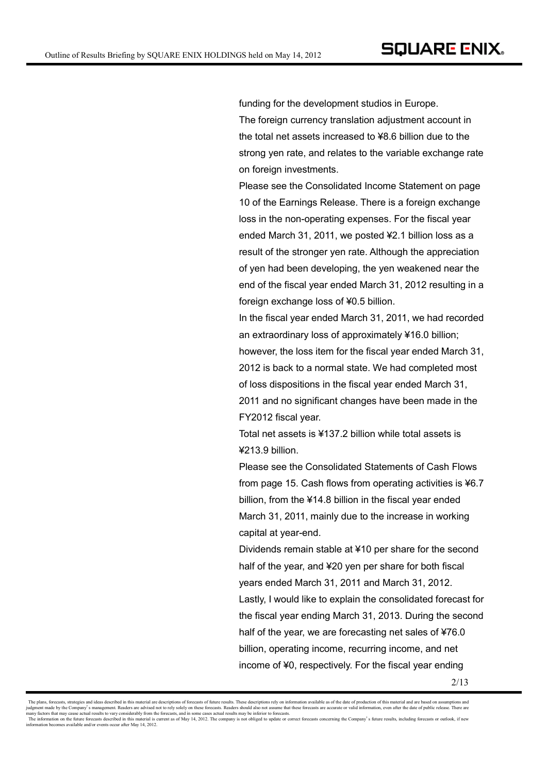funding for the development studios in Europe. The foreign currency translation adjustment account in the total net assets increased to ¥8.6 billion due to the strong yen rate, and relates to the variable exchange rate on foreign investments.

Please see the Consolidated Income Statement on page 10 of the Earnings Release. There is a foreign exchange loss in the non-operating expenses. For the fiscal year ended March 31, 2011, we posted ¥2.1 billion loss as a result of the stronger yen rate. Although the appreciation of yen had been developing, the yen weakened near the end of the fiscal year ended March 31, 2012 resulting in a foreign exchange loss of ¥0.5 billion.

In the fiscal year ended March 31, 2011, we had recorded an extraordinary loss of approximately ¥16.0 billion; however, the loss item for the fiscal year ended March 31, 2012 is back to a normal state. We had completed most of loss dispositions in the fiscal year ended March 31, 2011 and no significant changes have been made in the FY2012 fiscal year.

Total net assets is ¥137.2 billion while total assets is ¥213.9 billion.

Please see the Consolidated Statements of Cash Flows from page 15. Cash flows from operating activities is ¥6.7 billion, from the ¥14.8 billion in the fiscal year ended March 31, 2011, mainly due to the increase in working capital at year-end.

Dividends remain stable at ¥10 per share for the second half of the year, and ¥20 yen per share for both fiscal years ended March 31, 2011 and March 31, 2012. Lastly, I would like to explain the consolidated forecast for the fiscal year ending March 31, 2013. During the second half of the year, we are forecasting net sales of ¥76.0 billion, operating income, recurring income, and net income of ¥0, respectively. For the fiscal year ending

The plans, forecasts, strategies and ideas described in this material are descriptions of forecasts of future results. These descriptions rely on information available as of the date of production of this material and are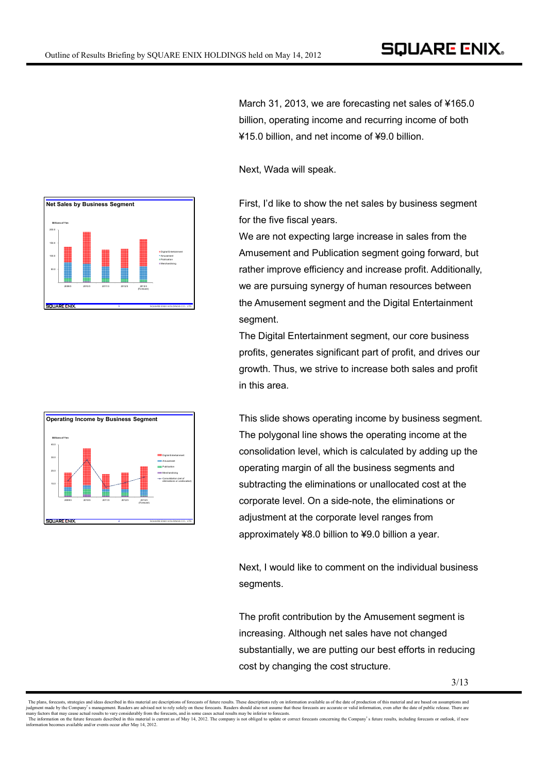



March 31, 2013, we are forecasting net sales of ¥165.0 billion, operating income and recurring income of both ¥15.0 billion, and net income of ¥9.0 billion.

Next, Wada will speak.

First, I'd like to show the net sales by business segment for the five fiscal years.

We are not expecting large increase in sales from the Amusement and Publication segment going forward, but rather improve efficiency and increase profit. Additionally, we are pursuing synergy of human resources between the Amusement segment and the Digital Entertainment segment.

The Digital Entertainment segment, our core business profits, generates significant part of profit, and drives our growth. Thus, we strive to increase both sales and profit in this area.

This slide shows operating income by business segment. The polygonal line shows the operating income at the consolidation level, which is calculated by adding up the operating margin of all the business segments and subtracting the eliminations or unallocated cost at the corporate level. On a side-note, the eliminations or adjustment at the corporate level ranges from approximately ¥8.0 billion to ¥9.0 billion a year.

Next, I would like to comment on the individual business segments.

The profit contribution by the Amusement segment is increasing. Although net sales have not changed substantially, we are putting our best efforts in reducing cost by changing the cost structure.

The plans, forecasts, strategies and ideas described in this material are descriptions of forecasts of future results. These descriptions rely on information available as of the date of production of this material and are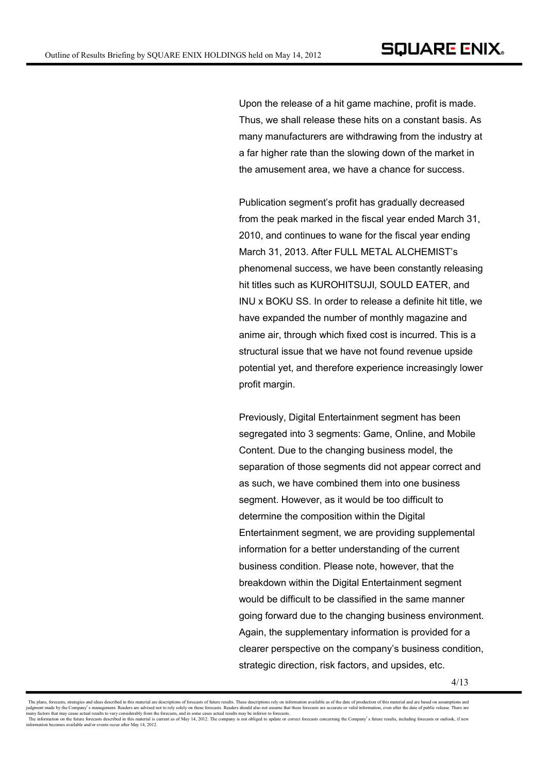Upon the release of a hit game machine, profit is made. Thus, we shall release these hits on a constant basis. As many manufacturers are withdrawing from the industry at a far higher rate than the slowing down of the market in the amusement area, we have a chance for success.

Publication segment's profit has gradually decreased from the peak marked in the fiscal year ended March 31, 2010, and continues to wane for the fiscal year ending March 31, 2013. After FULL METAL ALCHEMIST's phenomenal success, we have been constantly releasing hit titles such as KUROHITSUJI*,* SOULD EATER, and INU x BOKU SS. In order to release a definite hit title, we have expanded the number of monthly magazine and anime air, through which fixed cost is incurred. This is a structural issue that we have not found revenue upside potential yet, and therefore experience increasingly lower profit margin.

Previously, Digital Entertainment segment has been segregated into 3 segments: Game, Online, and Mobile Content. Due to the changing business model, the separation of those segments did not appear correct and as such, we have combined them into one business segment. However, as it would be too difficult to determine the composition within the Digital Entertainment segment, we are providing supplemental information for a better understanding of the current business condition. Please note, however, that the breakdown within the Digital Entertainment segment would be difficult to be classified in the same manner going forward due to the changing business environment. Again, the supplementary information is provided for a clearer perspective on the company's business condition, strategic direction, risk factors, and upsides, etc.

The plans, forecasts, strategies and ideas described in this material are descriptions of forecasts of future results. These descriptions rely on information available as of the date of production of this material and are judgment made by the Company's management. Readers are advised not to rely solely on these forecasts. Readers should also not assume that these forecasts are accurate or valid information, even after the date of public rel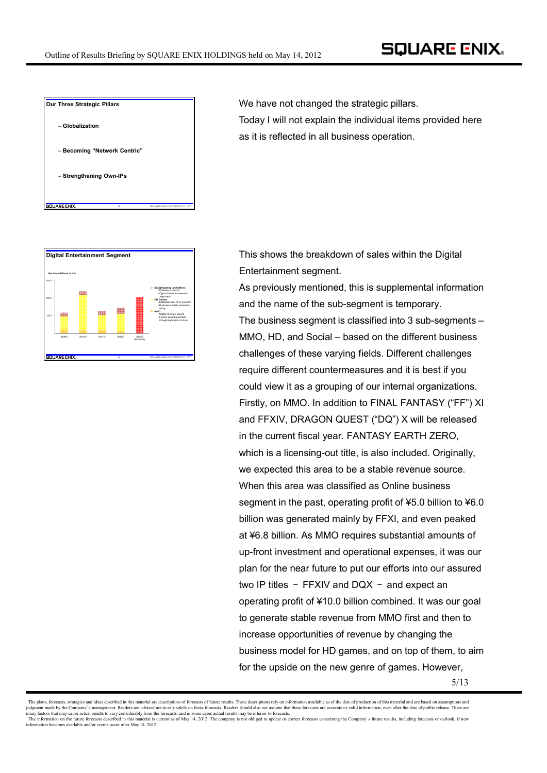

We have not changed the strategic pillars. Today I will not explain the individual items provided here as it is reflected in all business operation.



**Digital Entertainment Segment This shows the breakdown of sales within the Digital** Entertainment segment.

> As previously mentioned, this is supplemental information and the name of the sub-segment is temporary. The business segment is classified into 3 sub-segments – MMO, HD, and Social – based on the different business challenges of these varying fields. Different challenges require different countermeasures and it is best if you could view it as a grouping of our internal organizations. Firstly, on MMO. In addition to FINAL FANTASY ("FF") XI and FFXIV, DRAGON QUEST ("DQ") X will be released in the current fiscal year. FANTASY EARTH ZERO, which is a licensing-out title, is also included. Originally, we expected this area to be a stable revenue source. When this area was classified as Online business segment in the past, operating profit of ¥5.0 billion to ¥6.0 billion was generated mainly by FFXI, and even peaked at ¥6.8 billion. As MMO requires substantial amounts of up-front investment and operational expenses, it was our plan for the near future to put our efforts into our assured two IP titles – FFXIV and DQX – and expect an operating profit of ¥10.0 billion combined. It was our goal to generate stable revenue from MMO first and then to increase opportunities of revenue by changing the business model for HD games, and on top of them, to aim for the upside on the new genre of games. However,

The plans, forecasts, strategies and ideas described in this material are descriptions of forecasts of future results. These descriptions rely on information available as of the date of production of this material and are information becomes available and/or events occur after May 14, 2012.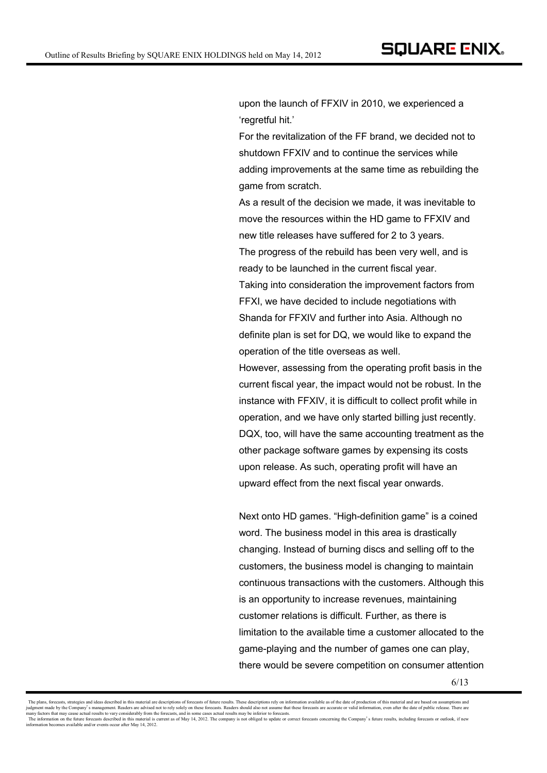upon the launch of FFXIV in 2010, we experienced a 'regretful hit.'

For the revitalization of the FF brand, we decided not to shutdown FFXIV and to continue the services while adding improvements at the same time as rebuilding the game from scratch.

As a result of the decision we made, it was inevitable to move the resources within the HD game to FFXIV and new title releases have suffered for 2 to 3 years. The progress of the rebuild has been very well, and is ready to be launched in the current fiscal year. Taking into consideration the improvement factors from FFXI, we have decided to include negotiations with Shanda for FFXIV and further into Asia. Although no definite plan is set for DQ, we would like to expand the operation of the title overseas as well. However, assessing from the operating profit basis in the current fiscal year, the impact would not be robust. In the instance with FFXIV, it is difficult to collect profit while in operation, and we have only started billing just recently. DQX, too, will have the same accounting treatment as the other package software games by expensing its costs upon release. As such, operating profit will have an

Next onto HD games. "High-definition game" is a coined word. The business model in this area is drastically changing. Instead of burning discs and selling off to the customers, the business model is changing to maintain continuous transactions with the customers. Although this is an opportunity to increase revenues, maintaining customer relations is difficult. Further, as there is limitation to the available time a customer allocated to the game-playing and the number of games one can play, there would be severe competition on consumer attention

upward effect from the next fiscal year onwards.

The plans, forecasts, strategies and ideas described in this material are descriptions of forecasts of future results. These descriptions rely on information available as of the date of production of this material and are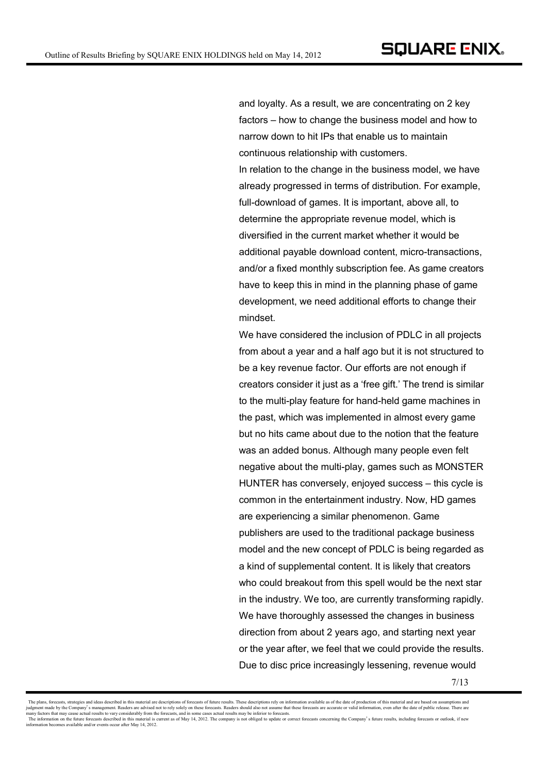and loyalty. As a result, we are concentrating on 2 key factors – how to change the business model and how to narrow down to hit IPs that enable us to maintain continuous relationship with customers. In relation to the change in the business model, we have already progressed in terms of distribution. For example, full-download of games. It is important, above all, to determine the appropriate revenue model, which is diversified in the current market whether it would be additional payable download content, micro-transactions, and/or a fixed monthly subscription fee. As game creators have to keep this in mind in the planning phase of game development, we need additional efforts to change their mindset.

We have considered the inclusion of PDLC in all projects from about a year and a half ago but it is not structured to be a key revenue factor. Our efforts are not enough if creators consider it just as a 'free gift.' The trend is similar to the multi-play feature for hand-held game machines in the past, which was implemented in almost every game but no hits came about due to the notion that the feature was an added bonus. Although many people even felt negative about the multi-play, games such as MONSTER HUNTER has conversely, enjoyed success – this cycle is common in the entertainment industry. Now, HD games are experiencing a similar phenomenon. Game publishers are used to the traditional package business model and the new concept of PDLC is being regarded as a kind of supplemental content. It is likely that creators who could breakout from this spell would be the next star in the industry. We too, are currently transforming rapidly. We have thoroughly assessed the changes in business direction from about 2 years ago, and starting next year or the year after, we feel that we could provide the results. Due to disc price increasingly lessening, revenue would

The plans, forecasts, strategies and ideas described in this material are descriptions of forecasts of future results. These descriptions rely on information available as of the date of production of this material and are information becomes available and/or events occur after May 14, 2012.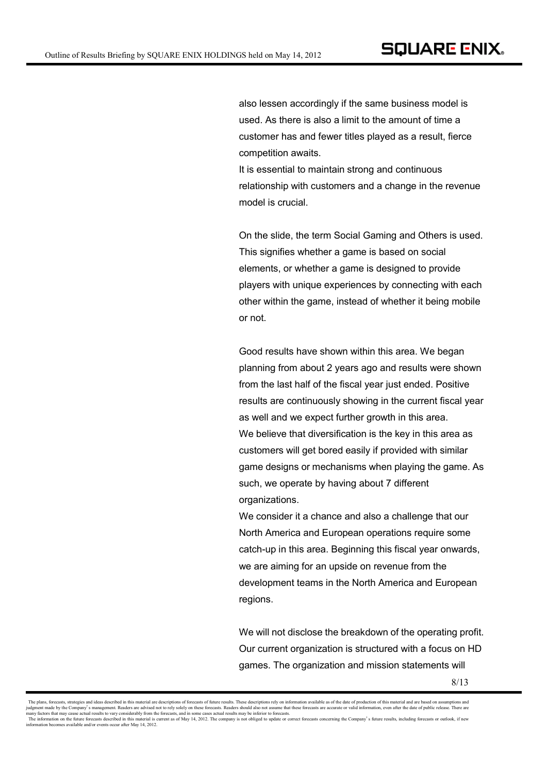also lessen accordingly if the same business model is used. As there is also a limit to the amount of time a customer has and fewer titles played as a result, fierce competition awaits.

It is essential to maintain strong and continuous relationship with customers and a change in the revenue model is crucial.

On the slide, the term Social Gaming and Others is used. This signifies whether a game is based on social elements, or whether a game is designed to provide players with unique experiences by connecting with each other within the game, instead of whether it being mobile or not.

Good results have shown within this area. We began planning from about 2 years ago and results were shown from the last half of the fiscal year just ended. Positive results are continuously showing in the current fiscal year as well and we expect further growth in this area. We believe that diversification is the key in this area as customers will get bored easily if provided with similar game designs or mechanisms when playing the game. As such, we operate by having about 7 different organizations.

We consider it a chance and also a challenge that our North America and European operations require some catch-up in this area. Beginning this fiscal year onwards, we are aiming for an upside on revenue from the development teams in the North America and European regions.

We will not disclose the breakdown of the operating profit. Our current organization is structured with a focus on HD games. The organization and mission statements will

The plans, forecasts, strategies and ideas described in this material are descriptions of forecasts of future results. These descriptions rely on information available as of the date of production of this material and are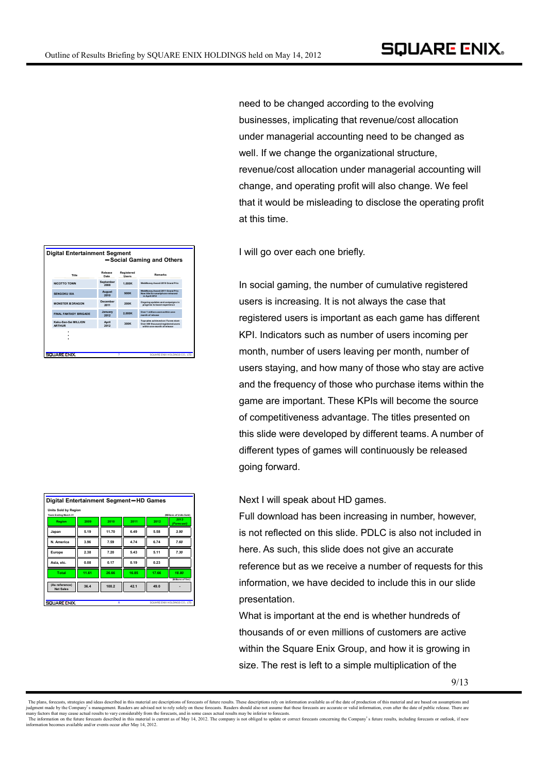| <b>Digital Entertainment Segment</b><br>-Social Gaming and Others |                       |                             |                                                                                                         |  |  |  |
|-------------------------------------------------------------------|-----------------------|-----------------------------|---------------------------------------------------------------------------------------------------------|--|--|--|
| Title                                                             | Release<br>Date       | Registered<br><b>Lisers</b> | <b>Remarks</b>                                                                                          |  |  |  |
| NICOTTO TOWN                                                      | September<br>2008     | 1.000K                      | WebMoney Award 2010 Grand Prix                                                                          |  |  |  |
| <b>SENGOKU IXA</b>                                                | <b>August</b><br>2010 | <b>900K</b>                 | WebMoney Award 2011 Grand Prix<br>New title for smartph one released<br>in April 2012                   |  |  |  |
| <b>MONSTER X DRAGON</b>                                           | December<br>2011      | <b>200K</b>                 | Ongoing updates and campaigns in<br>progress to boost experience                                        |  |  |  |
| <b>FINAL FANTASY RRIGADE</b>                                      | January<br>2012       | 2.000K                      | Over 1 million users within one.<br>month of release                                                    |  |  |  |
| Kaku-San-Sei MILLION<br><b>ARTHUR</b>                             | April<br>2012         | 300K                        | Top sales achieved on iTunes store<br>Over 300 thousand registered users<br>within one-month of release |  |  |  |
|                                                                   |                       |                             |                                                                                                         |  |  |  |
| SQUARE ENIX.                                                      |                       | ŋ                           | SQUARE ENIX HOLDINGS CO., LTD.                                                                          |  |  |  |

| Digital Entertainment Segment-HD Games               |       |                         |       |       |                                |
|------------------------------------------------------|-------|-------------------------|-------|-------|--------------------------------|
| <b>Units Sold by Region</b><br>Years Ending March 31 |       |                         |       |       | (Millions of Units Sold)       |
| Region                                               | 2009  | 2010                    | 2011  | 2012  | 2013<br>(Forecast)             |
| Japan                                                | 5.19  | 11.70                   | 6.49  | 5.58  | 3.90                           |
| N. America                                           | 3.96  | 7.59                    | 4.74  | 6.74  | 7.60                           |
| Europe                                               | 2.38  | 7.20                    | 5.43  | 5.11  | 7.30                           |
| Asia, etc.                                           | 0.08  | 0.17                    | 0.19  | 0.23  |                                |
| Total                                                | 11.61 | 26.66                   | 16.85 | 17.66 | 18.80                          |
| (As reference)                                       | 36.4  | 100.2                   | 42.1  | 49.0  | (Billions of Yen)              |
| <b>Net Sales</b>                                     |       |                         |       |       |                                |
|                                                      |       |                         |       |       |                                |
| <b>SQUARE ENIX.</b>                                  |       | $\overline{\mathbf{x}}$ |       |       | SQUARE ENIX HOLDINGS CO., LTD. |

need to be changed according to the evolving businesses, implicating that revenue/cost allocation under managerial accounting need to be changed as well. If we change the organizational structure, revenue/cost allocation under managerial accounting will change, and operating profit will also change. We feel that it would be misleading to disclose the operating profit at this time.

I will go over each one briefly.

In social gaming, the number of cumulative registered users is increasing. It is not always the case that registered users is important as each game has different KPI. Indicators such as number of users incoming per month, number of users leaving per month, number of users staying, and how many of those who stay are active and the frequency of those who purchase items within the game are important. These KPIs will become the source of competitiveness advantage. The titles presented on this slide were developed by different teams. A number of different types of games will continuously be released going forward.

Next I will speak about HD games.

Full download has been increasing in number, however, is not reflected on this slide. PDLC is also not included in here. As such, this slide does not give an accurate reference but as we receive a number of requests for this information, we have decided to include this in our slide presentation.

What is important at the end is whether hundreds of thousands of or even millions of customers are active within the Square Enix Group, and how it is growing in size. The rest is left to a simple multiplication of the

The plans, forecasts, strategies and ideas described in this material are descriptions of forecasts of future results. These descriptions rely on information available as of the date of production of this material and are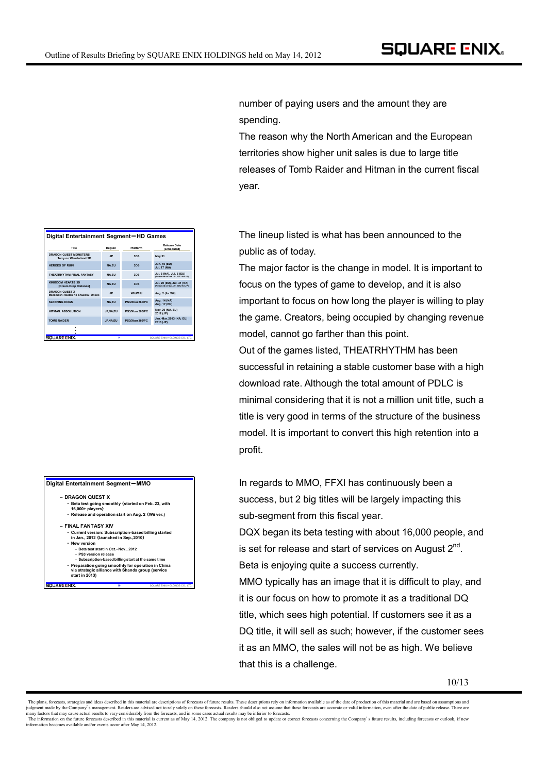|                                                        | ligital Entertainment Segment-HD Games |                  |                                                                  |  |  |  |  |  |
|--------------------------------------------------------|----------------------------------------|------------------|------------------------------------------------------------------|--|--|--|--|--|
| Title                                                  | Region                                 | Platform         | Release Date<br>(scheduled)                                      |  |  |  |  |  |
| <b>DRAGON QUEST MONSTERS</b><br>Terry no Wonderland 3D | .IP                                    | 3DS              | May 31                                                           |  |  |  |  |  |
| <b>HEROES OF RUIN</b>                                  | <b>NA.EU</b>                           | 3DS              | Jun. 15 (EU)<br><b>Jul. 17 (NA)</b>                              |  |  |  |  |  |
| THEATRHYTHM FINAL FANTASY                              | <b>NA.EU</b>                           | 3DS              | Jul. 3 (NA), Jul. 6 (EU)<br>(Released on Feb. 16, 2012 for JP)   |  |  |  |  |  |
| KINGDOM HEARTS 3D<br>[Dream Drop Distance]             | <b>NA.EU</b>                           | 3DS              | Jul. 20 (EU), Jul. 31 (NA)<br>(Released on Mar. 29, 2012 for JP) |  |  |  |  |  |
| DRAGON OUEST X<br>Mezameshi Itsutsu No Shuzoku Online  | .IP                                    | <b>Wii/Wiill</b> | Aug. 2 (for Wii)                                                 |  |  |  |  |  |
| SLEEPING DOGS                                          | <b>NA.EU</b>                           | PS3/Xbox360/PC   | Aug. 14 (NA)<br>Aug. 17 (EU)                                     |  |  |  |  |  |
| HITMAN: ARSOL UTION                                    | <b>JP.NA.EU</b>                        | PS3/Xbox360/PC   | <b>Nov. 20 (NA, EU)</b><br>2012 (JP)                             |  |  |  |  |  |
| <b>TOMR RAIDER</b>                                     | JP.NA.EU                               | PS3/Xbox360/PC   | Jan.-Mar. 2013 (NA, EU)<br>2013 (JP)                             |  |  |  |  |  |
|                                                        |                                        |                  |                                                                  |  |  |  |  |  |

・・・・

**SQUARE END** 

**9** SQUARE ENIX HOLDINGS CO., LTD.

| $D$ igital Liitel tallilleilt Seginelit — Mim $O$                                                                          |                                       |                                                       |
|----------------------------------------------------------------------------------------------------------------------------|---------------------------------------|-------------------------------------------------------|
| - DRAGON QUEST X                                                                                                           |                                       |                                                       |
| • Beta test going smoothly (started on Feb. 23, with<br>16,000+ players)                                                   |                                       |                                                       |
| • Release and operation start on Aug. 2 (Wii ver.)                                                                         |                                       |                                                       |
| - FINAI FANTASY XIV                                                                                                        |                                       |                                                       |
| in Jan., 2012 (launched in Sep., 2010)                                                                                     |                                       | • Current version: Subscription-based billing started |
| • New version                                                                                                              |                                       |                                                       |
| - PS3 version release                                                                                                      | - Beta test start in Oct.- Nov., 2012 |                                                       |
|                                                                                                                            |                                       | - Subscription-based billing start at the same time   |
| • Preparation going smoothly for operation in China<br>via strategic alliance with Shanda group (service<br>start in 2013) |                                       |                                                       |
| SQUARE ENIX.                                                                                                               | 10                                    | SQUARE ENIX HOLDINGS CO., LTD                         |

number of paying users and the amount they are spending.

The reason why the North American and the European territories show higher unit sales is due to large title releases of Tomb Raider and Hitman in the current fiscal year.

**Digital Entertainment Segment-HD Games** The lineup listed is what has been announced to the public as of today.

> The major factor is the change in model. It is important to focus on the types of game to develop, and it is also important to focus on how long the player is willing to play the game. Creators, being occupied by changing revenue model, cannot go farther than this point.

> Out of the games listed, THEATRHYTHM has been successful in retaining a stable customer base with a high download rate. Although the total amount of PDLC is minimal considering that it is not a million unit title, such a title is very good in terms of the structure of the business model. It is important to convert this high retention into a profit.

**Digital Entertainment Segment-MMO IN CONSET CONSET EXAMPLE SERVIT FOR A SET A** IN **REGARD** IN **IGGARD** IN **IGGARD** IN **IGGARD** IN **IGGARD** IN **IGGARD** IN **IGGARD** IN **IGGARD** IN **IGGARD** IN **IGGARD** IN **IGGARD** IN **IGGA** success, but 2 big titles will be largely impacting this sub-segment from this fiscal year.

> DQX began its beta testing with about 16,000 people, and is set for release and start of services on August  $2^{nd}$ . Beta is enjoying quite a success currently.

> MMO typically has an image that it is difficult to play, and it is our focus on how to promote it as a traditional DQ title, which sees high potential. If customers see it as a DQ title, it will sell as such; however, if the customer sees it as an MMO, the sales will not be as high. We believe that this is a challenge.

The plans, forecasts, strategies and ideas described in this material are descriptions of forecasts of future results. These descriptions rely on information available as of the date of production of this material and are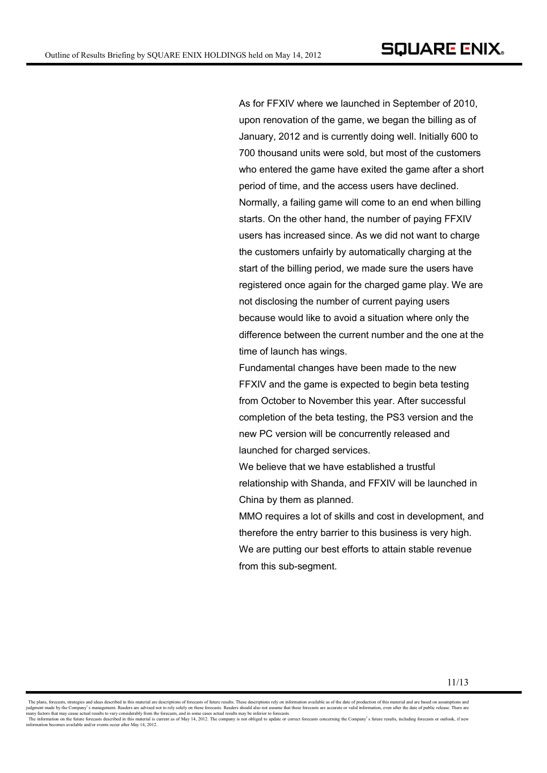As for FFXIV where we launched in September of 2010, upon renovation of the game, we began the billing as of January, 2012 and is currently doing well. Initially 600 to 700 thousand units were sold, but most of the customers who entered the game have exited the game after a short period of time, and the access users have declined. Normally, a failing game will come to an end when billing starts. On the other hand, the number of paying FFXIV users has increased since. As we did not want to charge the customers unfairly by automatically charging at the start of the billing period, we made sure the users have registered once again for the charged game play. We are not disclosing the number of current paying users because would like to avoid a situation where only the difference between the current number and the one at the time of launch has wings.

Fundamental changes have been made to the new FFXIV and the game is expected to begin beta testing from October to November this year. After successful completion of the beta testing, the PS3 version and the new PC version will be concurrently released and launched for charged services.

We believe that we have established a trustful relationship with Shanda, and FFXIV will be launched in China by them as planned.

MMO requires a lot of skills and cost in development, and therefore the entry barrier to this business is very high. We are putting our best efforts to attain stable revenue from this sub-segment.

The plans, forecasts, strategies and ideas described in this material are descriptions of forecasts of future results. These descriptions rely on information available as of the date of production of this material and are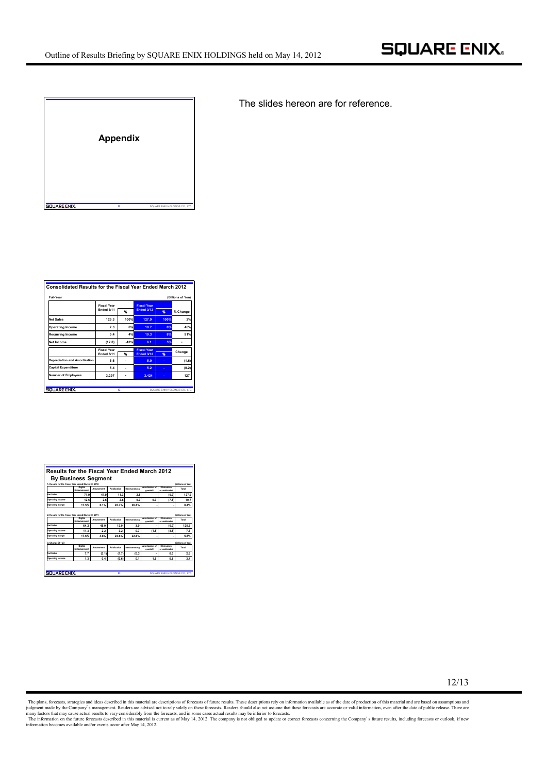

The slides hereon are for reference.

| Full-Year                            |                    |        |                    |      | (Billions of Yen) |
|--------------------------------------|--------------------|--------|--------------------|------|-------------------|
|                                      | <b>Fiscal Year</b> |        | <b>Fiscal Year</b> |      |                   |
|                                      | Ended 3/11         | Y.     | <b>Ended 3/12</b>  | %    | % Change          |
| <b>Net Sales</b>                     | 125.3              | 100%   | 127.9              | 100% | 2%                |
| <b>Operating Income</b>              | 7.3                | 6%     | 10.7               | 8%   | 46%               |
| <b>Recurring Income</b>              | 5.4                | 4%     | 10.3               | 8%   | 91%               |
| Net Income                           | (12.0)             | $-10%$ | 6.1                | 5%   |                   |
|                                      | <b>Fiscal Year</b> |        | <b>Fiscal Year</b> |      |                   |
|                                      | Ended 3/11         | ٩ĸ     | <b>Ended 3/12</b>  | %    | Change            |
| <b>Depreciation and Amortization</b> | 6.6                |        | 5.0                |      | (1.6)             |
| Capital Expenditure                  | 5.4                |        | 5.2                |      | (0.2)             |
| <b>Number of Employees</b>           | 3.297              |        | 3.424              |      | 127               |

|                                                     | <b>By Business Segment</b>      |           |             |               |                            |                                |                           |
|-----------------------------------------------------|---------------------------------|-----------|-------------|---------------|----------------------------|--------------------------------|---------------------------|
| 1. Results for the Fiscal Year ended March 31, 2012 |                                 |           |             |               |                            |                                | (Billions of Yen)         |
|                                                     | Digital<br>Entertainment        | Amusement | Publication | Marchandising | Americation of<br>mondail  | Fliminations<br>or unallocated | Total                     |
| Not Sales                                           | 71.9                            | 41.9      | 11.3        | 2.8           | i.                         | (0.0)                          | 127.9                     |
| Operating Income                                    | 12.6                            | 26        | 2.6         | 0.7           | 0.0                        | (7.8)                          | 10.7                      |
| Operating Margin                                    | 17.5%                           | 6.1%      | 22.7%       | 26.8%         |                            |                                | 8.4%                      |
| 2. Results for the Fiscal Year ended March 31, 2011 | Digital<br>Entertainment        | Amusement | Publication | Marchandising | Americation of<br>ooodwill | Fliminations<br>or unallocated | Total                     |
| Not Sales                                           | 64.2                            | 45.0      | 13.0        | 3.0           |                            | (0,0)                          | (Rilings of Yea)<br>125.3 |
| Operating Income                                    | 11.3                            | 2.2       | 3.2         | 0.7           | (1.5)                      | (8.5)                          | 7.3                       |
|                                                     | 17.6%                           | 4.8%      | 24.6%       | 22.6%         |                            |                                | 5.8%                      |
|                                                     |                                 |           |             |               |                            |                                |                           |
| Operating Margin<br>3. Change (1-2)                 | <b>Digital</b><br>Entertainment | Amusement | Publication | Marchandising | Americation of<br>ooodwill | Eliminations<br>or unallocated | Total                     |
| Not Sales                                           | 7.7                             | (3.1)     | (1.7)       | (0.3)         |                            | 0.0                            | (Billings of Yen)<br>2.6  |

12/13

The plans, forecasts, strategies and ideas described in this material are descriptions of forecasts of future results. These descriptions rely on information available as of the date of production of this material and are